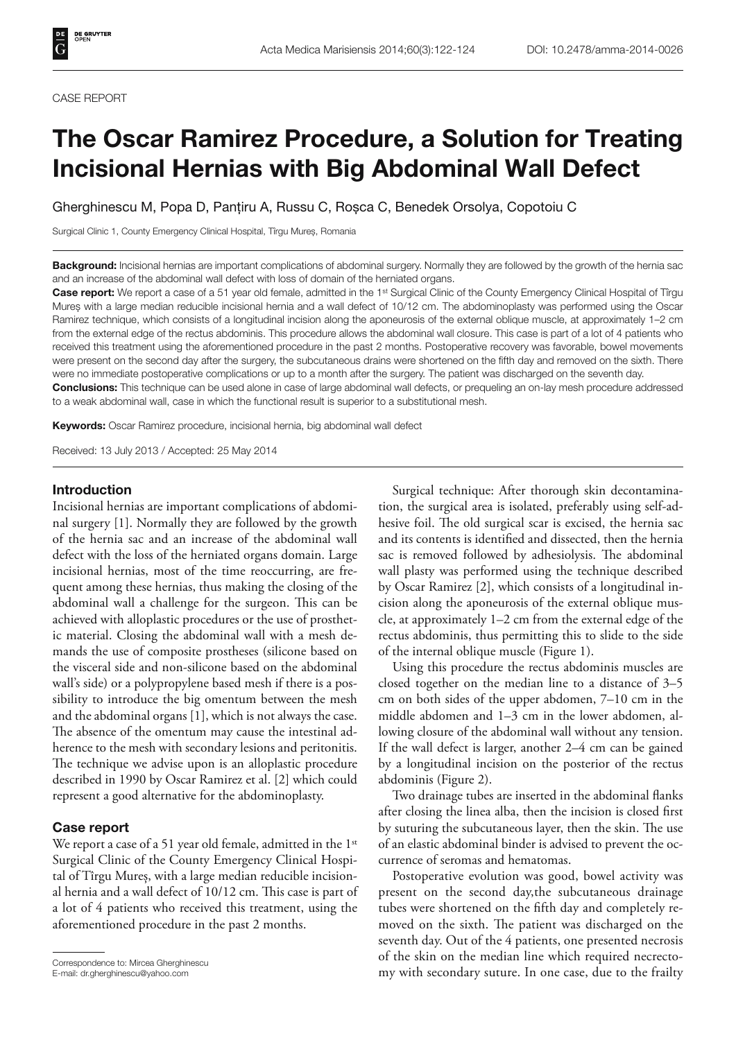#### CASE REPORT

# **The Oscar Ramirez Procedure, a Solution for Treating Incisional Hernias with Big Abdominal Wall Defect**

Gherghinescu M, Popa D, Panțiru A, Russu C, Roșca C, Benedek Orsolya, Copotoiu C

Surgical Clinic 1, County Emergency Clinical Hospital, Tîrgu Mureș, Romania

**Background:** Incisional hernias are important complications of abdominal surgery. Normally they are followed by the growth of the hernia sac and an increase of the abdominal wall defect with loss of domain of the herniated organs.

Case report: We report a case of a 51 year old female, admitted in the 1<sup>st</sup> Surgical Clinic of the County Emergency Clinical Hospital of Tîrgu Mureș with a large median reducible incisional hernia and a wall defect of 10/12 cm. The abdominoplasty was performed using the Oscar Ramirez technique, which consists of a longitudinal incision along the aponeurosis of the external oblique muscle, at approximately 1–2 cm from the external edge of the rectus abdominis. This procedure allows the abdominal wall closure. This case is part of a lot of 4 patients who received this treatment using the aforementioned procedure in the past 2 months. Postoperative recovery was favorable, bowel movements were present on the second day after the surgery, the subcutaneous drains were shortened on the fifth day and removed on the sixth. There were no immediate postoperative complications or up to a month after the surgery. The patient was discharged on the seventh day. **Conclusions:** This technique can be used alone in case of large abdominal wall defects, or prequeling an on-lay mesh procedure addressed

to a weak abdominal wall, case in which the functional result is superior to a substitutional mesh.

**Keywords:** Oscar Ramirez procedure, incisional hernia, big abdominal wall defect

Received: 13 July 2013 / Accepted: 25 May 2014

### **Introduction**

Incisional hernias are important complications of abdominal surgery [1]. Normally they are followed by the growth of the hernia sac and an increase of the abdominal wall defect with the loss of the herniated organs domain. Large incisional hernias, most of the time reoccurring, are frequent among these hernias, thus making the closing of the abdominal wall a challenge for the surgeon. This can be achieved with alloplastic procedures or the use of prosthetic material. Closing the abdominal wall with a mesh demands the use of composite prostheses (silicone based on the visceral side and non-silicone based on the abdominal wall's side) or a polypropylene based mesh if there is a possibility to introduce the big omentum between the mesh and the abdominal organs [1], which is not always the case. The absence of the omentum may cause the intestinal adherence to the mesh with secondary lesions and peritonitis. The technique we advise upon is an alloplastic procedure described in 1990 by Oscar Ramirez et al. [2] which could represent a good alternative for the abdominoplasty.

### **Case report**

We report a case of a 51 year old female, admitted in the  $1<sup>st</sup>$ Surgical Clinic of the County Emergency Clinical Hospital of Tîrgu Mureș, with a large median reducible incisional hernia and a wall defect of 10/12 cm. This case is part of a lot of 4 patients who received this treatment, using the aforementioned procedure in the past 2 months.

Surgical technique: After thorough skin decontamination, the surgical area is isolated, preferably using self-adhesive foil. The old surgical scar is excised, the hernia sac and its contents is identified and dissected, then the hernia sac is removed followed by adhesiolysis. The abdominal wall plasty was performed using the technique described by Oscar Ramirez [2], which consists of a longitudinal incision along the aponeurosis of the external oblique muscle, at approximately 1–2 cm from the external edge of the rectus abdominis, thus permitting this to slide to the side of the internal oblique muscle (Figure 1).

Using this procedure the rectus abdominis muscles are closed together on the median line to a distance of 3–5 cm on both sides of the upper abdomen, 7–10 cm in the middle abdomen and 1–3 cm in the lower abdomen, allowing closure of the abdominal wall without any tension. If the wall defect is larger, another 2–4 cm can be gained by a longitudinal incision on the posterior of the rectus abdominis (Figure 2).

Two drainage tubes are inserted in the abdominal flanks after closing the linea alba, then the incision is closed first by suturing the subcutaneous layer, then the skin. The use of an elastic abdominal binder is advised to prevent the occurrence of seromas and hematomas.

Postoperative evolution was good, bowel activity was present on the second day,the subcutaneous drainage tubes were shortened on the fifth day and completely removed on the sixth. The patient was discharged on the seventh day. Out of the 4 patients, one presented necrosis of the skin on the median line which required necrecto-Correspondence to: Mircea Gherghinescu<br>
E-mail: dr.gherghinescu@yahoo.com **E-mail: dr.gherghinescu@yahoo.com E-mail: dr.gherghinescu@yahoo.com E-mail: dr.gherghinescu@yahoo.com** 

E-mail: dr.gherghinescu@yahoo.com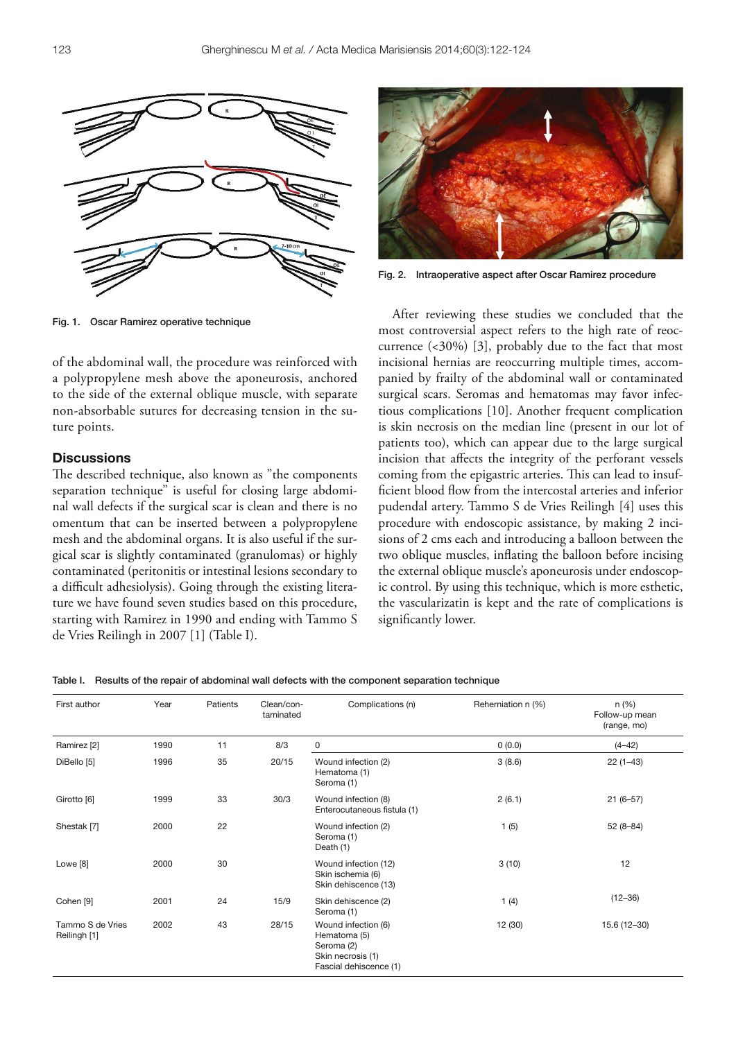

Fig. 1. Oscar Ramirez operative technique

of the abdominal wall, the procedure was reinforced with a polypropylene mesh above the aponeurosis, anchored to the side of the external oblique muscle, with separate non-absorbable sutures for decreasing tension in the suture points.

# **Discussions**

The described technique, also known as "the components separation technique" is useful for closing large abdominal wall defects if the surgical scar is clean and there is no omentum that can be inserted between a polypropylene mesh and the abdominal organs. It is also useful if the surgical scar is slightly contaminated (granulomas) or highly contaminated (peritonitis or intestinal lesions secondary to a difficult adhesiolysis). Going through the existing literature we have found seven studies based on this procedure, starting with Ramirez in 1990 and ending with Tammo S de Vries Reilingh in 2007 [1] (Table I).



Fig. 2. Intraoperative aspect after Oscar Ramirez procedure

After reviewing these studies we concluded that the most controversial aspect refers to the high rate of reoccurrence (<30%) [3], probably due to the fact that most incisional hernias are reoccurring multiple times, accompanied by frailty of the abdominal wall or contaminated surgical scars. Seromas and hematomas may favor infectious complications [10]. Another frequent complication is skin necrosis on the median line (present in our lot of patients too), which can appear due to the large surgical incision that affects the integrity of the perforant vessels coming from the epigastric arteries. This can lead to insufficient blood flow from the intercostal arteries and inferior pudendal artery. Tammo S de Vries Reilingh [4] uses this procedure with endoscopic assistance, by making 2 incisions of 2 cms each and introducing a balloon between the two oblique muscles, inflating the balloon before incising the external oblique muscle's aponeurosis under endoscopic control. By using this technique, which is more esthetic, the vascularizatin is kept and the rate of complications is significantly lower.

#### Table I. Results of the repair of abdominal wall defects with the component separation technique

| First author                     | Year | Patients | Clean/con-<br>taminated | Complications (n)                                                                                | Reherniation n (%) | n(%)<br>Follow-up mean<br>(range, mo) |
|----------------------------------|------|----------|-------------------------|--------------------------------------------------------------------------------------------------|--------------------|---------------------------------------|
| Ramirez [2]                      | 1990 | 11       | 8/3                     | 0                                                                                                | 0(0.0)             | $(4 - 42)$                            |
| DiBello [5]                      | 1996 | 35       | 20/15                   | Wound infection (2)<br>Hematoma (1)<br>Seroma (1)                                                | 3(8.6)             | $22(1-43)$                            |
| Girotto [6]                      | 1999 | 33       | 30/3                    | Wound infection (8)<br>Enterocutaneous fistula (1)                                               | 2(6.1)             | $21(6-57)$                            |
| Shestak [7]                      | 2000 | 22       |                         | Wound infection (2)<br>Seroma (1)<br>Death (1)                                                   | 1(5)               | $52(8-84)$                            |
| Lowe <sup>[8]</sup>              | 2000 | 30       |                         | Wound infection (12)<br>Skin ischemia (6)<br>Skin dehiscence (13)                                | 3(10)              | 12                                    |
| Cohen [9]                        | 2001 | 24       | 15/9                    | Skin dehiscence (2)<br>Seroma (1)                                                                | 1 $(4)$            | $(12 - 36)$                           |
| Tammo S de Vries<br>Reilingh [1] | 2002 | 43       | 28/15                   | Wound infection (6)<br>Hematoma (5)<br>Seroma (2)<br>Skin necrosis (1)<br>Fascial dehiscence (1) | 12 (30)            | 15.6 (12-30)                          |